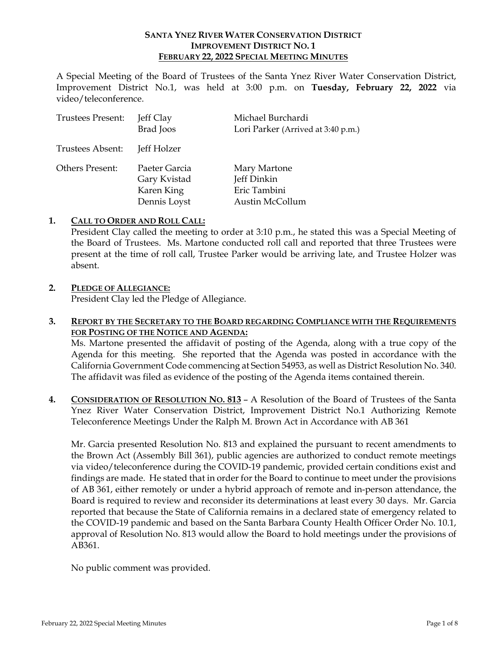### **SANTA YNEZ RIVER WATER CONSERVATION DISTRICT IMPROVEMENT DISTRICT NO. 1 FEBRUARY 22, 2022 SPECIAL MEETING MINUTES**

A Special Meeting of the Board of Trustees of the Santa Ynez River Water Conservation District, Improvement District No.1, was held at 3:00 p.m. on **Tuesday, February 22, 2022** via video/teleconference.

| <b>Trustees Present:</b> | Jeff Clay<br><b>Brad</b> Joos                               | Michael Burchardi<br>Lori Parker (Arrived at 3:40 p.m.)        |
|--------------------------|-------------------------------------------------------------|----------------------------------------------------------------|
| Trustees Absent:         | Jeff Holzer                                                 |                                                                |
| Others Present:          | Paeter Garcia<br>Gary Kvistad<br>Karen King<br>Dennis Loyst | Mary Martone<br>Jeff Dinkin<br>Eric Tambini<br>Austin McCollum |

### **1. CALL TO ORDER AND ROLL CALL:**

President Clay called the meeting to order at 3:10 p.m., he stated this was a Special Meeting of the Board of Trustees. Ms. Martone conducted roll call and reported that three Trustees were present at the time of roll call, Trustee Parker would be arriving late, and Trustee Holzer was absent.

# **2. PLEDGE OF ALLEGIANCE:**

President Clay led the Pledge of Allegiance.

## **3. REPORT BY THE SECRETARY TO THE BOARD REGARDING COMPLIANCE WITH THE REQUIREMENTS FOR POSTING OF THE NOTICE AND AGENDA:**

Ms. Martone presented the affidavit of posting of the Agenda, along with a true copy of the Agenda for this meeting. She reported that the Agenda was posted in accordance with the California Government Code commencing at Section 54953, as well as District Resolution No. 340. The affidavit was filed as evidence of the posting of the Agenda items contained therein.

**4. CONSIDERATION OF RESOLUTION NO. 813** – A Resolution of the Board of Trustees of the Santa Ynez River Water Conservation District, Improvement District No.1 Authorizing Remote Teleconference Meetings Under the Ralph M. Brown Act in Accordance with AB 361

Mr. Garcia presented Resolution No. 813 and explained the pursuant to recent amendments to the Brown Act (Assembly Bill 361), public agencies are authorized to conduct remote meetings via video/teleconference during the COVID-19 pandemic, provided certain conditions exist and findings are made. He stated that in order for the Board to continue to meet under the provisions of AB 361, either remotely or under a hybrid approach of remote and in-person attendance, the Board is required to review and reconsider its determinations at least every 30 days. Mr. Garcia reported that because the State of California remains in a declared state of emergency related to the COVID-19 pandemic and based on the Santa Barbara County Health Officer Order No. 10.1, approval of Resolution No. 813 would allow the Board to hold meetings under the provisions of AB361.

No public comment was provided.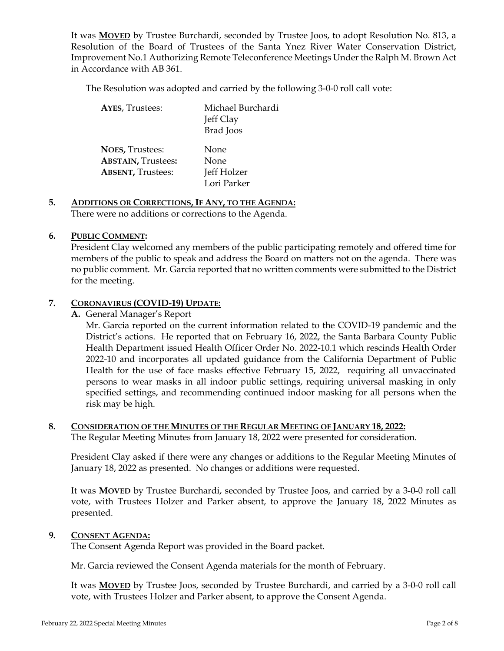It was **MOVED** by Trustee Burchardi, seconded by Trustee Joos, to adopt Resolution No. 813, a Resolution of the Board of Trustees of the Santa Ynez River Water Conservation District, Improvement No.1 Authorizing Remote Teleconference Meetings Under the Ralph M. Brown Act in Accordance with AB 361.

The Resolution was adopted and carried by the following 3-0-0 roll call vote:

| <b>AYES, Trustees:</b>    | Michael Burchardi<br>Jeff Clay<br><b>Brad</b> Joos |
|---------------------------|----------------------------------------------------|
| <b>NOES, Trustees:</b>    | None                                               |
| <b>ABSTAIN, Trustees:</b> | None                                               |
| <b>ABSENT, Trustees:</b>  | Jeff Holzer                                        |
|                           | Lori Parker                                        |

#### **5. ADDITIONS OR CORRECTIONS, IF ANY, TO THE AGENDA:**  There were no additions or corrections to the Agenda.

#### **6. PUBLIC COMMENT:**

President Clay welcomed any members of the public participating remotely and offered time for members of the public to speak and address the Board on matters not on the agenda. There was no public comment. Mr. Garcia reported that no written comments were submitted to the District for the meeting.

### **7. CORONAVIRUS (COVID-19) UPDATE:**

**A.** General Manager's Report

Mr. Garcia reported on the current information related to the COVID-19 pandemic and the District's actions. He reported that on February 16, 2022, the Santa Barbara County Public Health Department issued Health Officer Order No. 2022-10.1 which rescinds Health Order 2022-10 and incorporates all updated guidance from the California Department of Public Health for the use of face masks effective February 15, 2022, requiring all unvaccinated persons to wear masks in all indoor public settings, requiring universal masking in only specified settings, and recommending continued indoor masking for all persons when the risk may be high.

# **8. CONSIDERATION OF THE MINUTES OF THE REGULAR MEETING OF JANUARY 18, 2022:**

The Regular Meeting Minutes from January 18, 2022 were presented for consideration.

President Clay asked if there were any changes or additions to the Regular Meeting Minutes of January 18, 2022 as presented. No changes or additions were requested.

It was **MOVED** by Trustee Burchardi, seconded by Trustee Joos, and carried by a 3-0-0 roll call vote, with Trustees Holzer and Parker absent, to approve the January 18, 2022 Minutes as presented.

### **9. CONSENT AGENDA:**

The Consent Agenda Report was provided in the Board packet.

Mr. Garcia reviewed the Consent Agenda materials for the month of February.

It was **MOVED** by Trustee Joos, seconded by Trustee Burchardi, and carried by a 3-0-0 roll call vote, with Trustees Holzer and Parker absent, to approve the Consent Agenda.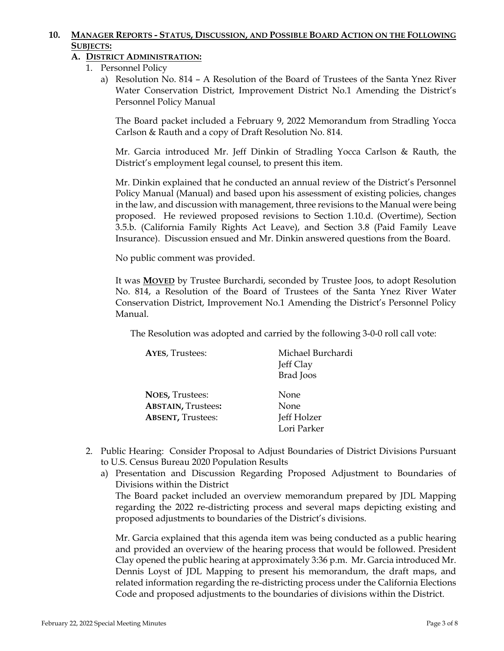# **10. MANAGER REPORTS - STATUS, DISCUSSION, AND POSSIBLE BOARD ACTION ON THE FOLLOWING SUBJECTS:**

# **A. DISTRICT ADMINISTRATION:**

- 1. Personnel Policy
	- a) Resolution No. 814 A Resolution of the Board of Trustees of the Santa Ynez River Water Conservation District, Improvement District No.1 Amending the District's Personnel Policy Manual

The Board packet included a February 9, 2022 Memorandum from Stradling Yocca Carlson & Rauth and a copy of Draft Resolution No. 814.

Mr. Garcia introduced Mr. Jeff Dinkin of Stradling Yocca Carlson & Rauth, the District's employment legal counsel, to present this item.

Mr. Dinkin explained that he conducted an annual review of the District's Personnel Policy Manual (Manual) and based upon his assessment of existing policies, changes in the law, and discussion with management, three revisions to the Manual were being proposed. He reviewed proposed revisions to Section 1.10.d. (Overtime), Section 3.5.b. (California Family Rights Act Leave), and Section 3.8 (Paid Family Leave Insurance). Discussion ensued and Mr. Dinkin answered questions from the Board.

No public comment was provided.

It was **MOVED** by Trustee Burchardi, seconded by Trustee Joos, to adopt Resolution No. 814, a Resolution of the Board of Trustees of the Santa Ynez River Water Conservation District, Improvement No.1 Amending the District's Personnel Policy Manual.

The Resolution was adopted and carried by the following 3-0-0 roll call vote:

| <b>AYES, Trustees:</b>    | Michael Burchardi |
|---------------------------|-------------------|
|                           | Jeff Clay         |
|                           | Brad Joos         |
| <b>NOES, Trustees:</b>    | None              |
| <b>ABSTAIN, Trustees:</b> | None              |
| <b>ABSENT, Trustees:</b>  | Jeff Holzer       |
|                           | Lori Parker       |

- 2. Public Hearing: Consider Proposal to Adjust Boundaries of District Divisions Pursuant to U.S. Census Bureau 2020 Population Results
	- a) Presentation and Discussion Regarding Proposed Adjustment to Boundaries of Divisions within the District The Board packet included an overview memorandum prepared by JDL Mapping

regarding the 2022 re-districting process and several maps depicting existing and proposed adjustments to boundaries of the District's divisions.

Mr. Garcia explained that this agenda item was being conducted as a public hearing and provided an overview of the hearing process that would be followed. President Clay opened the public hearing at approximately 3:36 p.m. Mr. Garcia introduced Mr. Dennis Loyst of JDL Mapping to present his memorandum, the draft maps, and related information regarding the re-districting process under the California Elections Code and proposed adjustments to the boundaries of divisions within the District.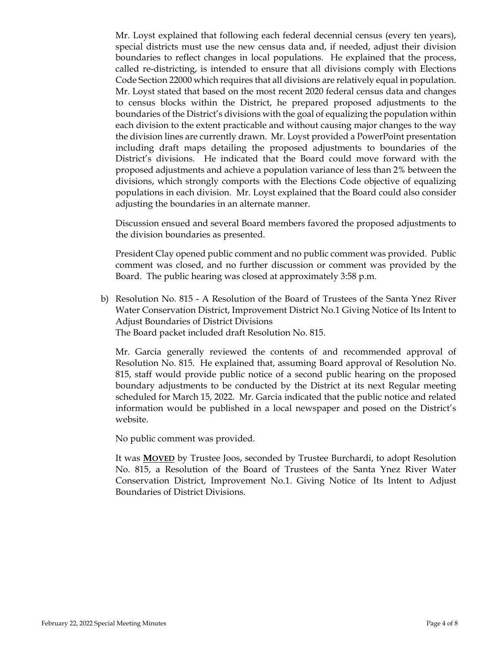Mr. Loyst explained that following each federal decennial census (every ten years), special districts must use the new census data and, if needed, adjust their division boundaries to reflect changes in local populations. He explained that the process, called re-districting, is intended to ensure that all divisions comply with Elections Code Section 22000 which requires that all divisions are relatively equal in population. Mr. Loyst stated that based on the most recent 2020 federal census data and changes to census blocks within the District, he prepared proposed adjustments to the boundaries of the District's divisions with the goal of equalizing the population within each division to the extent practicable and without causing major changes to the way the division lines are currently drawn. Mr. Loyst provided a PowerPoint presentation including draft maps detailing the proposed adjustments to boundaries of the District's divisions. He indicated that the Board could move forward with the proposed adjustments and achieve a population variance of less than 2% between the divisions, which strongly comports with the Elections Code objective of equalizing populations in each division. Mr. Loyst explained that the Board could also consider adjusting the boundaries in an alternate manner.

Discussion ensued and several Board members favored the proposed adjustments to the division boundaries as presented.

President Clay opened public comment and no public comment was provided. Public comment was closed, and no further discussion or comment was provided by the Board. The public hearing was closed at approximately 3:58 p.m.

b) Resolution No. 815 - A Resolution of the Board of Trustees of the Santa Ynez River Water Conservation District, Improvement District No.1 Giving Notice of Its Intent to Adjust Boundaries of District Divisions The Board packet included draft Resolution No. 815.

Mr. Garcia generally reviewed the contents of and recommended approval of Resolution No. 815. He explained that, assuming Board approval of Resolution No. 815, staff would provide public notice of a second public hearing on the proposed boundary adjustments to be conducted by the District at its next Regular meeting scheduled for March 15, 2022. Mr. Garcia indicated that the public notice and related information would be published in a local newspaper and posed on the District's website.

No public comment was provided.

It was **MOVED** by Trustee Joos, seconded by Trustee Burchardi, to adopt Resolution No. 815, a Resolution of the Board of Trustees of the Santa Ynez River Water Conservation District, Improvement No.1. Giving Notice of Its Intent to Adjust Boundaries of District Divisions.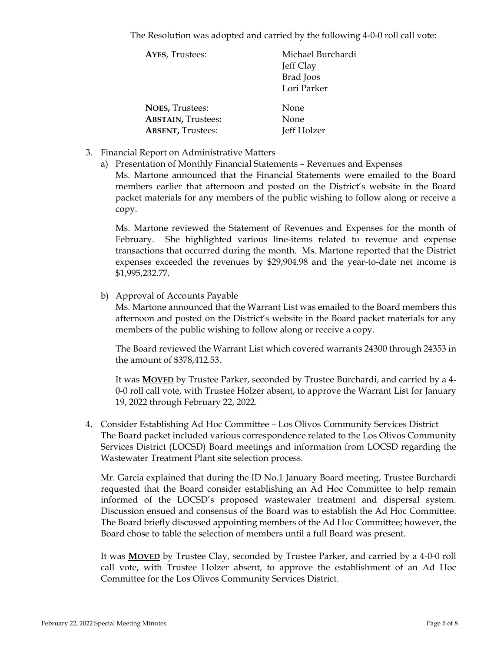The Resolution was adopted and carried by the following 4-0-0 roll call vote:

| <b>AYES, Trustees:</b>    | Michael Burchardi |
|---------------------------|-------------------|
|                           | Jeff Clay         |
|                           | <b>Brad</b> Joos  |
|                           | Lori Parker       |
| <b>NOES, Trustees:</b>    | None              |
| <b>ABSTAIN, Trustees:</b> | None              |
| <b>ABSENT, Trustees:</b>  | Jeff Holzer       |
|                           |                   |

- 3. Financial Report on Administrative Matters
	- a) Presentation of Monthly Financial Statements Revenues and Expenses

Ms. Martone announced that the Financial Statements were emailed to the Board members earlier that afternoon and posted on the District's website in the Board packet materials for any members of the public wishing to follow along or receive a copy.

Ms. Martone reviewed the Statement of Revenues and Expenses for the month of February. She highlighted various line-items related to revenue and expense transactions that occurred during the month. Ms. Martone reported that the District expenses exceeded the revenues by \$29,904.98 and the year-to-date net income is \$1,995,232.77.

b) Approval of Accounts Payable

Ms. Martone announced that the Warrant List was emailed to the Board members this afternoon and posted on the District's website in the Board packet materials for any members of the public wishing to follow along or receive a copy.

The Board reviewed the Warrant List which covered warrants 24300 through 24353 in the amount of \$378,412.53.

It was **MOVED** by Trustee Parker, seconded by Trustee Burchardi, and carried by a 4- 0-0 roll call vote, with Trustee Holzer absent, to approve the Warrant List for January 19, 2022 through February 22, 2022.

4. Consider Establishing Ad Hoc Committee – Los Olivos Community Services District The Board packet included various correspondence related to the Los Olivos Community Services District (LOCSD) Board meetings and information from LOCSD regarding the Wastewater Treatment Plant site selection process.

Mr. Garcia explained that during the ID No.1 January Board meeting, Trustee Burchardi requested that the Board consider establishing an Ad Hoc Committee to help remain informed of the LOCSD's proposed wastewater treatment and dispersal system. Discussion ensued and consensus of the Board was to establish the Ad Hoc Committee. The Board briefly discussed appointing members of the Ad Hoc Committee; however, the Board chose to table the selection of members until a full Board was present.

It was **MOVED** by Trustee Clay, seconded by Trustee Parker, and carried by a 4-0-0 roll call vote, with Trustee Holzer absent, to approve the establishment of an Ad Hoc Committee for the Los Olivos Community Services District.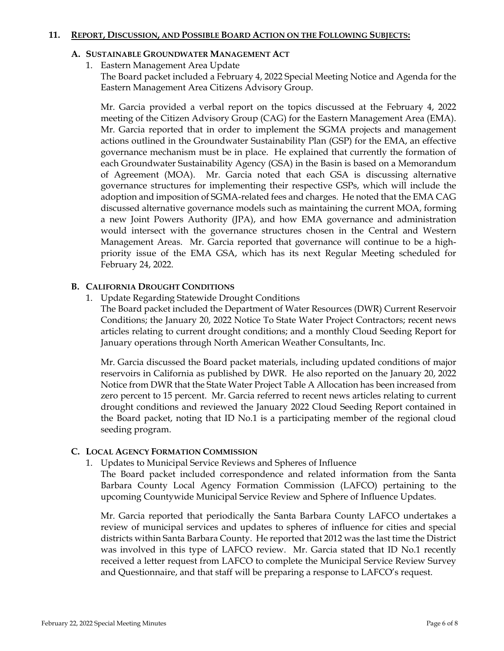#### **11. REPORT, DISCUSSION, AND POSSIBLE BOARD ACTION ON THE FOLLOWING SUBJECTS:**

### **A. SUSTAINABLE GROUNDWATER MANAGEMENT ACT**

1. Eastern Management Area Update

The Board packet included a February 4, 2022 Special Meeting Notice and Agenda for the Eastern Management Area Citizens Advisory Group.

Mr. Garcia provided a verbal report on the topics discussed at the February 4, 2022 meeting of the Citizen Advisory Group (CAG) for the Eastern Management Area (EMA). Mr. Garcia reported that in order to implement the SGMA projects and management actions outlined in the Groundwater Sustainability Plan (GSP) for the EMA, an effective governance mechanism must be in place. He explained that currently the formation of each Groundwater Sustainability Agency (GSA) in the Basin is based on a Memorandum of Agreement (MOA). Mr. Garcia noted that each GSA is discussing alternative governance structures for implementing their respective GSPs, which will include the adoption and imposition of SGMA-related fees and charges. He noted that the EMA CAG discussed alternative governance models such as maintaining the current MOA, forming a new Joint Powers Authority (JPA), and how EMA governance and administration would intersect with the governance structures chosen in the Central and Western Management Areas. Mr. Garcia reported that governance will continue to be a highpriority issue of the EMA GSA, which has its next Regular Meeting scheduled for February 24, 2022.

### **B. CALIFORNIA DROUGHT CONDITIONS**

1. Update Regarding Statewide Drought Conditions

The Board packet included the Department of Water Resources (DWR) Current Reservoir Conditions; the January 20, 2022 Notice To State Water Project Contractors; recent news articles relating to current drought conditions; and a monthly Cloud Seeding Report for January operations through North American Weather Consultants, Inc.

Mr. Garcia discussed the Board packet materials, including updated conditions of major reservoirs in California as published by DWR. He also reported on the January 20, 2022 Notice from DWR that the State Water Project Table A Allocation has been increased from zero percent to 15 percent. Mr. Garcia referred to recent news articles relating to current drought conditions and reviewed the January 2022 Cloud Seeding Report contained in the Board packet, noting that ID No.1 is a participating member of the regional cloud seeding program.

## **C. LOCAL AGENCY FORMATION COMMISSION**

1. Updates to Municipal Service Reviews and Spheres of Influence

The Board packet included correspondence and related information from the Santa Barbara County Local Agency Formation Commission (LAFCO) pertaining to the upcoming Countywide Municipal Service Review and Sphere of Influence Updates.

Mr. Garcia reported that periodically the Santa Barbara County LAFCO undertakes a review of municipal services and updates to spheres of influence for cities and special districts within Santa Barbara County. He reported that 2012 was the last time the District was involved in this type of LAFCO review. Mr. Garcia stated that ID No.1 recently received a letter request from LAFCO to complete the Municipal Service Review Survey and Questionnaire, and that staff will be preparing a response to LAFCO's request.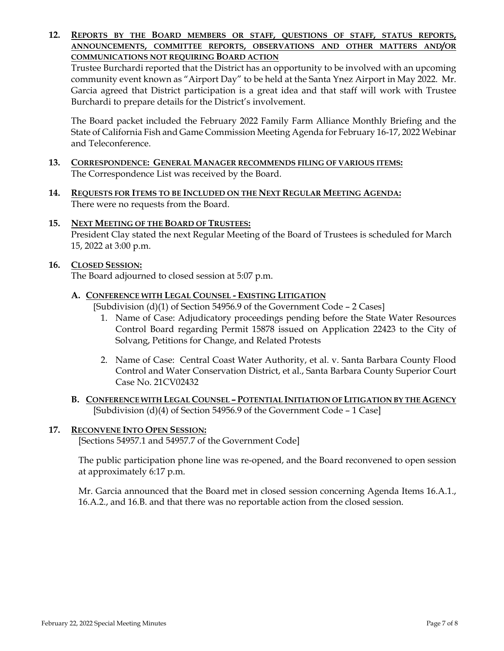### **12. REPORTS BY THE BOARD MEMBERS OR STAFF, QUESTIONS OF STAFF, STATUS REPORTS, ANNOUNCEMENTS, COMMITTEE REPORTS, OBSERVATIONS AND OTHER MATTERS AND/OR COMMUNICATIONS NOT REQUIRING BOARD ACTION**

Trustee Burchardi reported that the District has an opportunity to be involved with an upcoming community event known as "Airport Day" to be held at the Santa Ynez Airport in May 2022. Mr. Garcia agreed that District participation is a great idea and that staff will work with Trustee Burchardi to prepare details for the District's involvement.

The Board packet included the February 2022 Family Farm Alliance Monthly Briefing and the State of California Fish and Game Commission Meeting Agenda for February 16-17, 2022 Webinar and Teleconference.

- **13. CORRESPONDENCE: GENERAL MANAGER RECOMMENDS FILING OF VARIOUS ITEMS:**  The Correspondence List was received by the Board.
- **14. REQUESTS FOR ITEMS TO BE INCLUDED ON THE NEXT REGULAR MEETING AGENDA:**  There were no requests from the Board.
- **15. NEXT MEETING OF THE BOARD OF TRUSTEES:**  President Clay stated the next Regular Meeting of the Board of Trustees is scheduled for March 15, 2022 at 3:00 p.m.

## **16. CLOSED SESSION:**

The Board adjourned to closed session at 5:07 p.m.

### **A. CONFERENCE WITH LEGAL COUNSEL - EXISTING LITIGATION**

[Subdivision (d)(1) of Section 54956.9 of the Government Code - 2 Cases]

- 1. Name of Case: Adjudicatory proceedings pending before the State Water Resources Control Board regarding Permit 15878 issued on Application 22423 to the City of Solvang, Petitions for Change, and Related Protests
- 2. Name of Case: Central Coast Water Authority, et al. v. Santa Barbara County Flood Control and Water Conservation District, et al., Santa Barbara County Superior Court Case No. 21CV02432
- **B. CONFERENCE WITH LEGAL COUNSEL – POTENTIAL INITIATION OF LITIGATION BY THE AGENCY** [Subdivision (d)(4) of Section 54956.9 of the Government Code – 1 Case]

## **17. RECONVENE INTO OPEN SESSION:**

[Sections 54957.1 and 54957.7 of the Government Code]

The public participation phone line was re-opened, and the Board reconvened to open session at approximately 6:17 p.m.

Mr. Garcia announced that the Board met in closed session concerning Agenda Items 16.A.1., 16.A.2., and 16.B. and that there was no reportable action from the closed session.